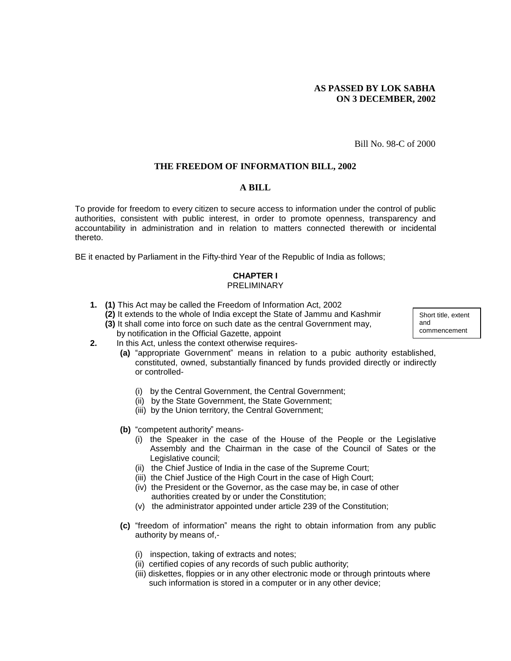# **AS PASSED BY LOK SABHA ON 3 DECEMBER, 2002**

Bill No. 98-C of 2000

## **THE FREEDOM OF INFORMATION BILL, 2002**

#### **A BILL**

To provide for freedom to every citizen to secure access to information under the control of public authorities, consistent with public interest, in order to promote openness, transparency and accountability in administration and in relation to matters connected therewith or incidental thereto.

BE it enacted by Parliament in the Fifty-third Year of the Republic of India as follows;

## **CHAPTER I**  PRELIMINARY

- **1. (1)** This Act may be called the Freedom of Information Act, 2002
	- **(2)** It extends to the whole of India except the State of Jammu and Kashmir **(3)** It shall come into force on such date as the central Government may,

Short title, extent and commencement

- by notification in the Official Gazette, appoint **2.** In this Act, unless the context otherwise requires-
	- **(a)** "appropriate Government" means in relation to a pubic authority established, constituted, owned, substantially financed by funds provided directly or indirectly or controlled-
		- (i) by the Central Government, the Central Government;
		- (ii) by the State Government, the State Government;
		- (iii) by the Union territory, the Central Government;
	- **(b)** "competent authority" means-
		- (i) the Speaker in the case of the House of the People or the Legislative Assembly and the Chairman in the case of the Council of Sates or the Legislative council;
		- (ii) the Chief Justice of India in the case of the Supreme Court;
		- (iii) the Chief Justice of the High Court in the case of High Court;
		- (iv) the President or the Governor, as the case may be, in case of other authorities created by or under the Constitution;
		- (v) the administrator appointed under article 239 of the Constitution;
	- **(c)** "freedom of information" means the right to obtain information from any public authority by means of,-
		- (i) inspection, taking of extracts and notes;
		- (ii) certified copies of any records of such public authority;
		- (iii) diskettes, floppies or in any other electronic mode or through printouts where such information is stored in a computer or in any other device;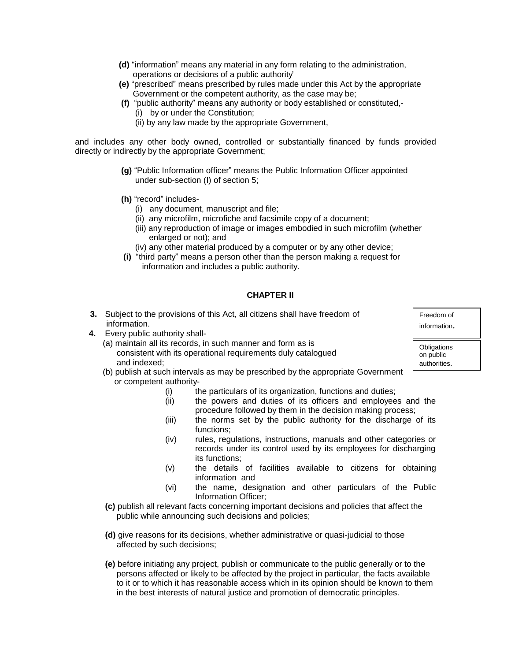- **(d)** "information" means any material in any form relating to the administration, operations or decisions of a public authority'
- **(e)** "prescribed" means prescribed by rules made under this Act by the appropriate Government or the competent authority, as the case may be;
- **(f)** "public authority" means any authority or body established or constituted,-
	- (i) by or under the Constitution;
	- (ii) by any law made by the appropriate Government,

and includes any other body owned, controlled or substantially financed by funds provided directly or indirectly by the appropriate Government;

- **(g)** "Public Information officer" means the Public Information Officer appointed under sub-section (I) of section 5;
- **(h)** "record" includes-
	- (i) any document, manuscript and file;
	- (ii) any microfilm, microfiche and facsimile copy of a document;
	- (iii) any reproduction of image or images embodied in such microfilm (whether enlarged or not); and
	- (iv) any other material produced by a computer or by any other device;
- **(i)** "third party" means a person other than the person making a request for information and includes a public authority.

# **CHAPTER II**

- **3.** Subject to the provisions of this Act, all citizens shall have freedom of information.
- **4.** Every public authority shall-
	- (a) maintain all its records, in such manner and form as is consistent with its operational requirements duly catalogued and indexed;
	- (b) publish at such intervals as may be prescribed by the appropriate Government or competent authority
		- the particulars of its organization, functions and duties;
		- (ii) the powers and duties of its officers and employees and the procedure followed by them in the decision making process;
		- (iii) the norms set by the public authority for the discharge of its functions;
		- (iv) rules, regulations, instructions, manuals and other categories or records under its control used by its employees for discharging its functions;
		- (v) the details of facilities available to citizens for obtaining information and
		- (vi) the name, designation and other particulars of the Public Information Officer;
	- **(c)** publish all relevant facts concerning important decisions and policies that affect the public while announcing such decisions and policies;
	- **(d)** give reasons for its decisions, whether administrative or quasi-judicial to those affected by such decisions;
	- **(e)** before initiating any project, publish or communicate to the public generally or to the persons affected or likely to be affected by the project in particular, the facts available to it or to which it has reasonable access which in its opinion should be known to them in the best interests of natural justice and promotion of democratic principles.

information.

Freedom of

**Obligations** on public authorities.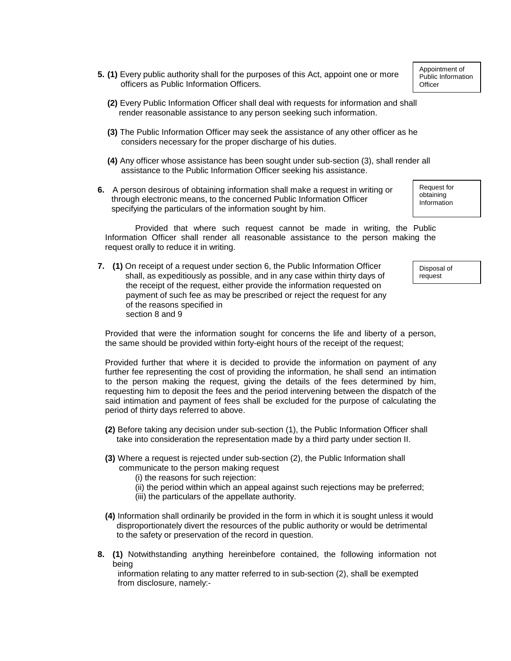- **5. (1)** Every public authority shall for the purposes of this Act, appoint one or more officers as Public Information Officers.
	- **(2)** Every Public Information Officer shall deal with requests for information and shall render reasonable assistance to any person seeking such information.
	- **(3)** The Public Information Officer may seek the assistance of any other officer as he considers necessary for the proper discharge of his duties.
	- **(4)** Any officer whose assistance has been sought under sub-section (3), shall render all assistance to the Public Information Officer seeking his assistance.
- **6.** A person desirous of obtaining information shall make a request in writing or through electronic means, to the concerned Public Information Officer specifying the particulars of the information sought by him.

Provided that where such request cannot be made in writing, the Public Information Officer shall render all reasonable assistance to the person making the request orally to reduce it in writing.

**7. (1)** On receipt of a request under section 6, the Public Information Officer shall, as expeditiously as possible, and in any case within thirty days of the receipt of the request, either provide the information requested on payment of such fee as may be prescribed or reject the request for any of the reasons specified in section 8 and 9

request

Disposal of

Request for obtaining Information

Provided that were the information sought for concerns the life and liberty of a person, the same should be provided within forty-eight hours of the receipt of the request;

Provided further that where it is decided to provide the information on payment of any further fee representing the cost of providing the information, he shall send an intimation to the person making the request, giving the details of the fees determined by him, requesting him to deposit the fees and the period intervening between the dispatch of the said intimation and payment of fees shall be excluded for the purpose of calculating the period of thirty days referred to above.

- **(2)** Before taking any decision under sub-section (1), the Public Information Officer shall take into consideration the representation made by a third party under section II.
- **(3)** Where a request is rejected under sub-section (2), the Public Information shall communicate to the person making request
	- (i) the reasons for such rejection:
	- (ii) the period within which an appeal against such rejections may be preferred;
	- (iii) the particulars of the appellate authority.
- **(4)** Information shall ordinarily be provided in the form in which it is sought unless it would disproportionately divert the resources of the public authority or would be detrimental to the safety or preservation of the record in question.
- **8. (1)** Notwithstanding anything hereinbefore contained, the following information not being

information relating to any matter referred to in sub-section (2), shall be exempted from disclosure, namely:-

Appointment of Public Information **Officer**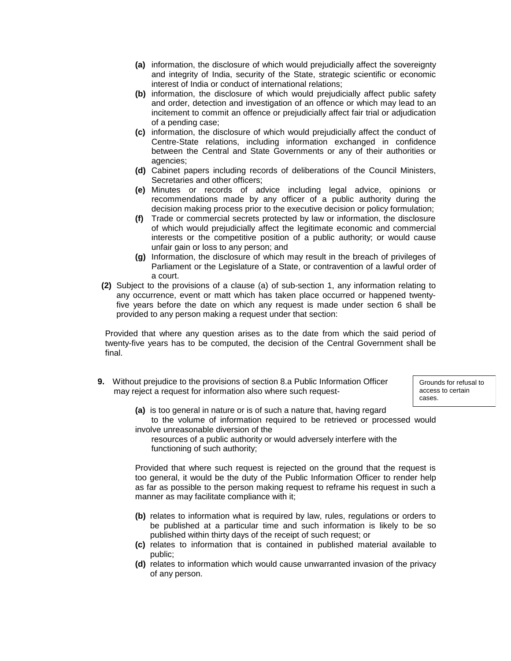- **(a)** information, the disclosure of which would prejudicially affect the sovereignty and integrity of India, security of the State, strategic scientific or economic interest of India or conduct of international relations;
- **(b)** information, the disclosure of which would prejudicially affect public safety and order, detection and investigation of an offence or which may lead to an incitement to commit an offence or prejudicially affect fair trial or adjudication of a pending case;
- **(c)** information, the disclosure of which would prejudicially affect the conduct of Centre-State relations, including information exchanged in confidence between the Central and State Governments or any of their authorities or agencies;
- **(d)** Cabinet papers including records of deliberations of the Council Ministers, Secretaries and other officers;
- **(e)** Minutes or records of advice including legal advice, opinions or recommendations made by any officer of a public authority during the decision making process prior to the executive decision or policy formulation;
- **(f)** Trade or commercial secrets protected by law or information, the disclosure of which would prejudicially affect the legitimate economic and commercial interests or the competitive position of a public authority; or would cause unfair gain or loss to any person; and
- **(g)** Information, the disclosure of which may result in the breach of privileges of Parliament or the Legislature of a State, or contravention of a lawful order of a court.
- **(2)** Subject to the provisions of a clause (a) of sub-section 1, any information relating to any occurrence, event or matt which has taken place occurred or happened twentyfive years before the date on which any request is made under section 6 shall be provided to any person making a request under that section:

Provided that where any question arises as to the date from which the said period of twenty-five years has to be computed, the decision of the Central Government shall be final.

**9.** Without prejudice to the provisions of section 8.a Public Information Officer may reject a request for information also where such request-

Grounds for refusal to access to certain cases.

- **(a)** is too general in nature or is of such a nature that, having regard
- to the volume of information required to be retrieved or processed would involve unreasonable diversion of the

 resources of a public authority or would adversely interfere with the functioning of such authority;

Provided that where such request is rejected on the ground that the request is too general, it would be the duty of the Public Information Officer to render help as far as possible to the person making request to reframe his request in such a manner as may facilitate compliance with it;

- **(b)** relates to information what is required by law, rules, regulations or orders to be published at a particular time and such information is likely to be so published within thirty days of the receipt of such request; or
- **(c)** relates to information that is contained in published material available to public;
- **(d)** relates to information which would cause unwarranted invasion of the privacy of any person.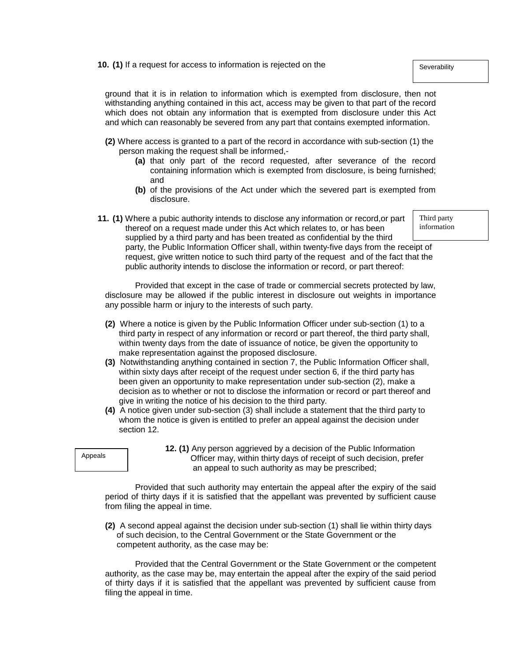**10. (1)** If a request for access to information is rejected on the

ground that it is in relation to information which is exempted from disclosure, then not withstanding anything contained in this act, access may be given to that part of the record which does not obtain any information that is exempted from disclosure under this Act and which can reasonably be severed from any part that contains exempted information.

- **(2)** Where access is granted to a part of the record in accordance with sub-section (1) the person making the request shall be informed,-
	- **(a)** that only part of the record requested, after severance of the record containing information which is exempted from disclosure, is being furnished; and
	- **(b)** of the provisions of the Act under which the severed part is exempted from disclosure.
- **11. (1)** Where a pubic authority intends to disclose any information or record,or part thereof on a request made under this Act which relates to, or has been supplied by a third party and has been treated as confidential by the third party, the Public Information Officer shall, within twenty-five days from the receipt of request, give written notice to such third party of the request and of the fact that the public authority intends to disclose the information or record, or part thereof:

Provided that except in the case of trade or commercial secrets protected by law, disclosure may be allowed if the public interest in disclosure out weights in importance any possible harm or injury to the interests of such party.

- **(2)** Where a notice is given by the Public Information Officer under sub-section (1) to a third party in respect of any information or record or part thereof, the third party shall, within twenty days from the date of issuance of notice, be given the opportunity to make representation against the proposed disclosure.
- **(3)** Notwithstanding anything contained in section 7, the Public Information Officer shall, within sixty days after receipt of the request under section 6, if the third party has been given an opportunity to make representation under sub-section (2), make a decision as to whether or not to disclose the information or record or part thereof and give in writing the notice of his decision to the third party.
- **(4)** A notice given under sub-section (3) shall include a statement that the third party to whom the notice is given is entitled to prefer an appeal against the decision under section 12.



**12. (1)** Any person aggrieved by a decision of the Public Information Officer may, within thirty days of receipt of such decision, prefer an appeal to such authority as may be prescribed;

Provided that such authority may entertain the appeal after the expiry of the said period of thirty days if it is satisfied that the appellant was prevented by sufficient cause from filing the appeal in time.

**(2)** A second appeal against the decision under sub-section (1) shall lie within thirty days of such decision, to the Central Government or the State Government or the competent authority, as the case may be:

Provided that the Central Government or the State Government or the competent authority, as the case may be, may entertain the appeal after the expiry of the said period of thirty days if it is satisfied that the appellant was prevented by sufficient cause from filing the appeal in time.

**Severability** 

Third party information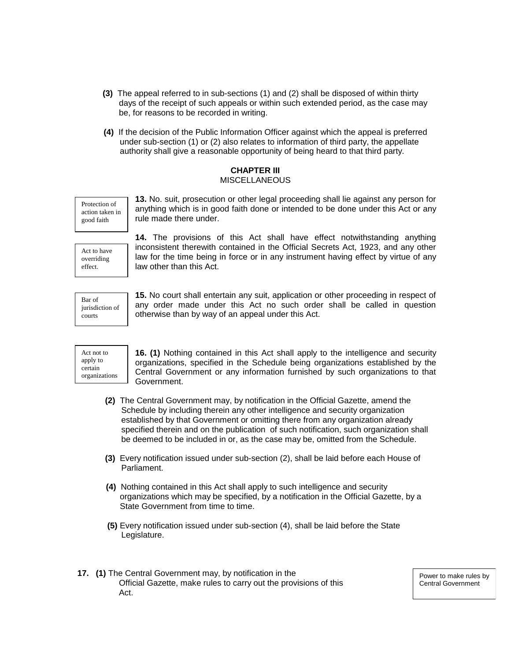- **(3)** The appeal referred to in sub-sections (1) and (2) shall be disposed of within thirty days of the receipt of such appeals or within such extended period, as the case may be, for reasons to be recorded in writing.
- **(4)** If the decision of the Public Information Officer against which the appeal is preferred under sub-section (1) or (2) also relates to information of third party, the appellate authority shall give a reasonable opportunity of being heard to that third party.

## **CHAPTER III**  MISCELLANEOUS

Protection of action taken in good faith

**13.** No. suit, prosecution or other legal proceeding shall lie against any person for anything which is in good faith done or intended to be done under this Act or any rule made there under.

Act to have overriding effect.

**14.** The provisions of this Act shall have effect notwithstanding anything inconsistent therewith contained in the Official Secrets Act, 1923, and any other law for the time being in force or in any instrument having effect by virtue of any law other than this Act.

Bar of jurisdiction of courts

**15.** No court shall entertain any suit, application or other proceeding in respect of any order made under this Act no such order shall be called in question otherwise than by way of an appeal under this Act.



**16. (1)** Nothing contained in this Act shall apply to the intelligence and security organizations, specified in the Schedule being organizations established by the Central Government or any information furnished by such organizations to that Government.

- **(2)** The Central Government may, by notification in the Official Gazette, amend the Schedule by including therein any other intelligence and security organization established by that Government or omitting there from any organization already specified therein and on the publication of such notification, such organization shall be deemed to be included in or, as the case may be, omitted from the Schedule.
- **(3)** Every notification issued under sub-section (2), shall be laid before each House of Parliament.
- **(4)** Nothing contained in this Act shall apply to such intelligence and security organizations which may be specified, by a notification in the Official Gazette, by a State Government from time to time.
- **(5)** Every notification issued under sub-section (4), shall be laid before the State Legislature.
- **17. (1)** The Central Government may, by notification in the Official Gazette, make rules to carry out the provisions of this Act.

Power to make rules by Central Government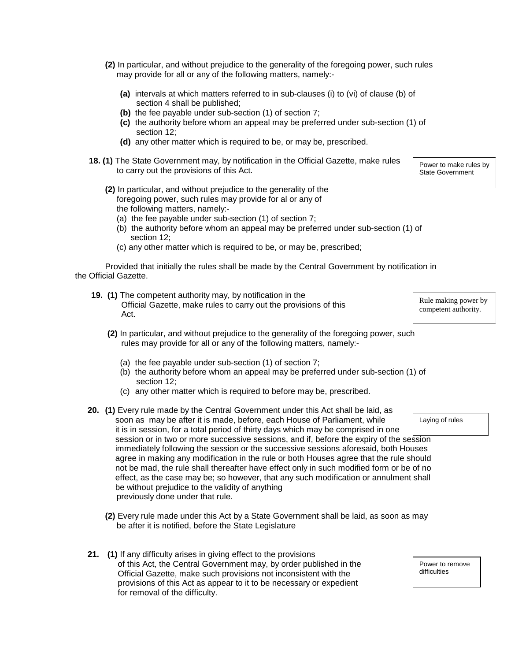- **(2)** In particular, and without prejudice to the generality of the foregoing power, such rules may provide for all or any of the following matters, namely:-
	- **(a)** intervals at which matters referred to in sub-clauses (i) to (vi) of clause (b) of section 4 shall be published;
	- **(b)** the fee payable under sub-section (1) of section 7;
	- **(c)** the authority before whom an appeal may be preferred under sub-section (1) of section 12;
	- **(d)** any other matter which is required to be, or may be, prescribed.
- **18. (1)** The State Government may, by notification in the Official Gazette, make rules to carry out the provisions of this Act.
	- **(2)** In particular, and without prejudice to the generality of the foregoing power, such rules may provide for al or any of the following matters, namely:-
		- (a) the fee payable under sub-section (1) of section 7;
		- (b) the authority before whom an appeal may be preferred under sub-section (1) of section 12;
		- (c) any other matter which is required to be, or may be, prescribed;

Provided that initially the rules shall be made by the Central Government by notification in the Official Gazette.

- **19. (1)** The competent authority may, by notification in the Official Gazette, make rules to carry out the provisions of this Act.
	- **(2)** In particular, and without prejudice to the generality of the foregoing power, such rules may provide for all or any of the following matters, namely:-
		- (a) the fee payable under sub-section (1) of section 7;
		- (b) the authority before whom an appeal may be preferred under sub-section (1) of section 12;
		- (c) any other matter which is required to before may be, prescribed.
- **20. (1)** Every rule made by the Central Government under this Act shall be laid, as soon as may be after it is made, before, each House of Parliament, while it is in session, for a total period of thirty days which may be comprised in one session or in two or more successive sessions, and if, before the expiry of the session immediately following the session or the successive sessions aforesaid, both Houses agree in making any modification in the rule or both Houses agree that the rule should not be mad, the rule shall thereafter have effect only in such modified form or be of no effect, as the case may be; so however, that any such modification or annulment shall be without prejudice to the validity of anything previously done under that rule. Laying of rules
	- **(2)** Every rule made under this Act by a State Government shall be laid, as soon as may be after it is notified, before the State Legislature
- **21. (1)** If any difficulty arises in giving effect to the provisions of this Act, the Central Government may, by order published in the Official Gazette, make such provisions not inconsistent with the provisions of this Act as appear to it to be necessary or expedient for removal of the difficulty.

Rule making power by competent authority.

Power to make rules by State Government

Power to remove difficulties